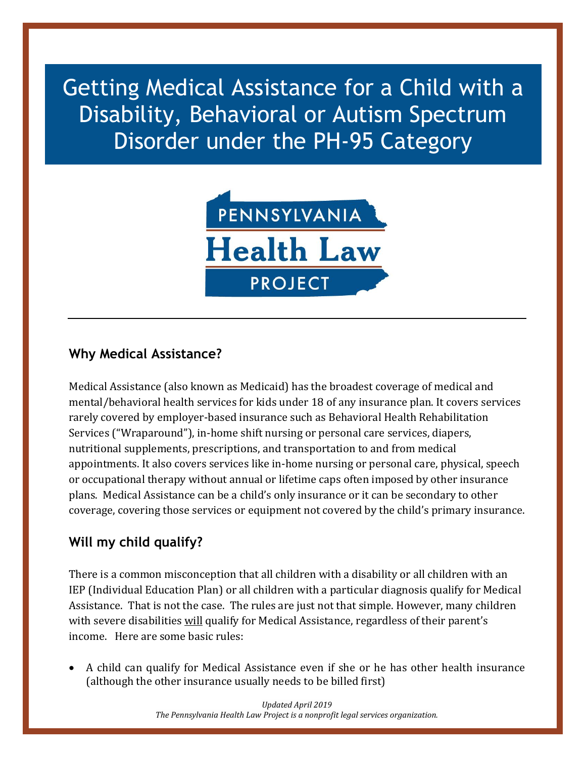Getting Medical Assistance for a Child with a Disability, Behavioral or Autism Spectrum Disorder under the PH-95 Category



# **Why Medical Assistance?**

Medical Assistance (also known as Medicaid) has the broadest coverage of medical and mental/behavioral health services for kids under 18 of any insurance plan. It covers services rarely covered by employer-based insurance such as Behavioral Health Rehabilitation Services ("Wraparound"), in-home shift nursing or personal care services, diapers, nutritional supplements, prescriptions, and transportation to and from medical appointments. It also covers services like in-home nursing or personal care, physical, speech or occupational therapy without annual or lifetime caps often imposed by other insurance plans. Medical Assistance can be a child's only insurance or it can be secondary to other coverage, covering those services or equipment not covered by the child's primary insurance.

# **Will my child qualify?**

There is a common misconception that all children with a disability or all children with an IEP (Individual Education Plan) or all children with a particular diagnosis qualify for Medical Assistance. That is not the case. The rules are just not that simple. However, many children with severe disabilities will qualify for Medical Assistance, regardless of their parent's income. Here are some basic rules:

• A child can qualify for Medical Assistance even if she or he has other health insurance (although the other insurance usually needs to be billed first)

> *Updated April 2019 The Pennsylvania Health Law Project is a nonprofit legal services organization.*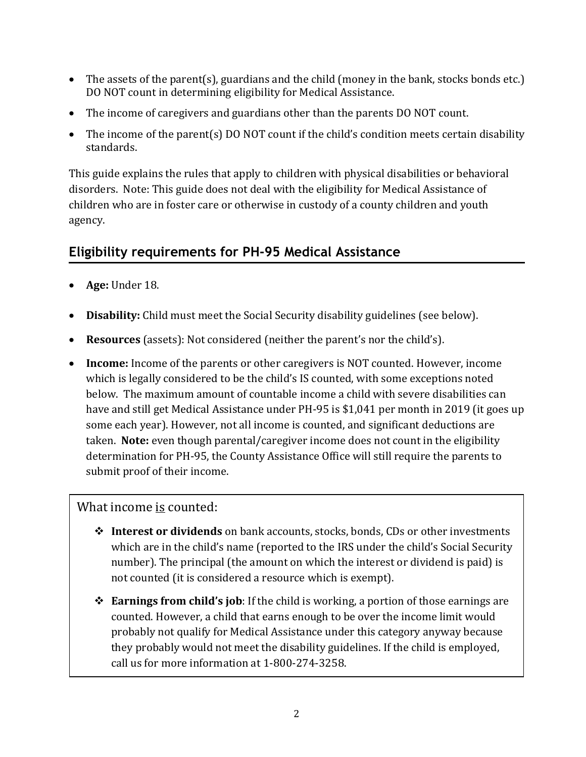- The assets of the parent(s), guardians and the child (money in the bank, stocks bonds etc.) DO NOT count in determining eligibility for Medical Assistance.
- The income of caregivers and guardians other than the parents DO NOT count.
- The income of the parent(s) DO NOT count if the child's condition meets certain disability standards.

This guide explains the rules that apply to children with physical disabilities or behavioral disorders. Note: This guide does not deal with the eligibility for Medical Assistance of children who are in foster care or otherwise in custody of a county children and youth agency.

# **Eligibility requirements for PH-95 Medical Assistance**

- **Age:** Under 18.
- **Disability:** Child must meet the Social Security disability guidelines (see below).
- **Resources** (assets): Not considered (neither the parent's nor the child's).
- **Income:** Income of the parents or other caregivers is NOT counted. However, income which is legally considered to be the child's IS counted, with some exceptions noted below. The maximum amount of countable income a child with severe disabilities can have and still get Medical Assistance under PH-95 is \$1,041 per month in 2019 (it goes up some each year). However, not all income is counted, and significant deductions are taken. **Note:** even though parental/caregiver income does not count in the eligibility determination for PH-95, the County Assistance Office will still require the parents to submit proof of their income.

### What income is counted:

- ❖ **Interest or dividends** on bank accounts, stocks, bonds, CDs or other investments which are in the child's name (reported to the IRS under the child's Social Security number). The principal (the amount on which the interest or dividend is paid) is not counted (it is considered a resource which is exempt).
- ❖ **Earnings from child's job**: If the child is working, a portion of those earnings are counted. However, a child that earns enough to be over the income limit would probably not qualify for Medical Assistance under this category anyway because they probably would not meet the disability guidelines. If the child is employed, call us for more information at 1-800-274-3258.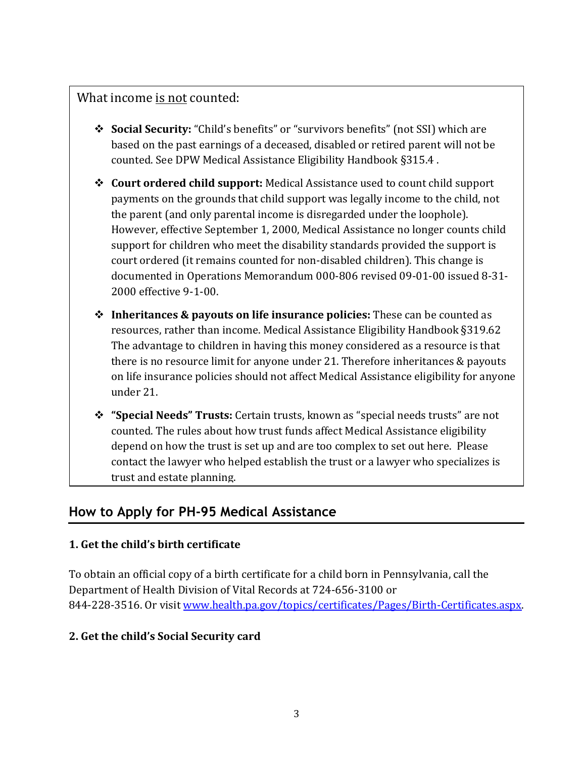# What income is not counted:

- ❖ **Social Security:** "Child's benefits" or "survivors benefits" (not SSI) which are based on the past earnings of a deceased, disabled or retired parent will not be counted. See DPW Medical Assistance Eligibility Handbook §315.4 .
- ❖ **Court ordered child support:** Medical Assistance used to count child support payments on the grounds that child support was legally income to the child, not the parent (and only parental income is disregarded under the loophole). However, effective September 1, 2000, Medical Assistance no longer counts child support for children who meet the disability standards provided the support is court ordered (it remains counted for non-disabled children). This change is documented in Operations Memorandum 000-806 revised 09-01-00 issued 8-31- 2000 effective 9-1-00.
- ❖ **Inheritances & payouts on life insurance policies:** These can be counted as resources, rather than income. Medical Assistance Eligibility Handbook §319.62 The advantage to children in having this money considered as a resource is that there is no resource limit for anyone under 21. Therefore inheritances & payouts on life insurance policies should not affect Medical Assistance eligibility for anyone under 21.
- ❖ **"Special Needs" Trusts:** Certain trusts, known as "special needs trusts" are not counted. The rules about how trust funds affect Medical Assistance eligibility depend on how the trust is set up and are too complex to set out here. Please contact the lawyer who helped establish the trust or a lawyer who specializes is trust and estate planning.

# **How to Apply for PH-95 Medical Assistance**

### **1. Get the child's birth certificate**

To obtain an official copy of a birth certificate for a child born in Pennsylvania, call the Department of Health Division of Vital Records at 724-656-3100 or 844-228-3516. Or visit [www.health.pa.gov/topics/certificates/Pages/Birth-Certificates.aspx.](http://www.health.pa.gov/topics/certificates/Pages/Birth-Certificates.aspx)

### **2. Get the child's Social Security card**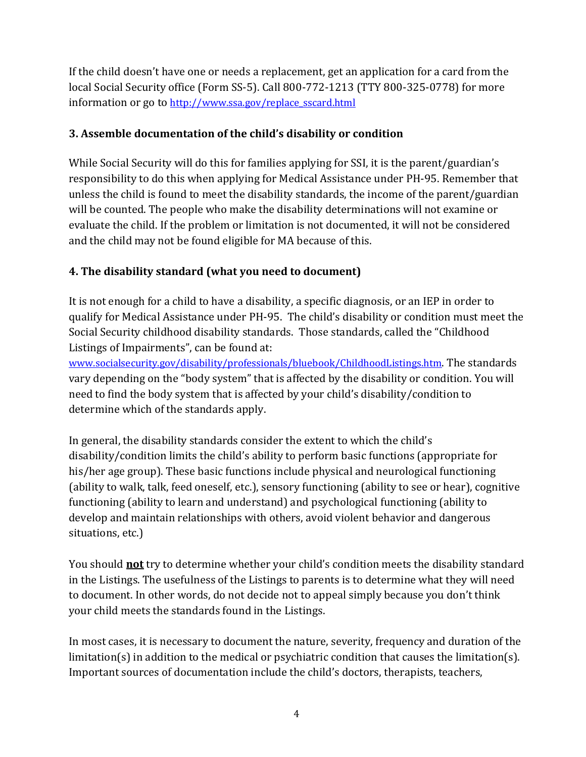If the child doesn't have one or needs a replacement, get an application for a card from the local Social Security office (Form SS-5). Call 800-772-1213 (TTY 800-325-0778) for more information or go to [http://www.ssa.gov/replace\\_sscard.html](http://www.ssa.gov/replace_sscard.html)

#### **3. Assemble documentation of the child's disability or condition**

While Social Security will do this for families applying for SSI, it is the parent/guardian's responsibility to do this when applying for Medical Assistance under PH-95. Remember that unless the child is found to meet the disability standards, the income of the parent/guardian will be counted. The people who make the disability determinations will not examine or evaluate the child. If the problem or limitation is not documented, it will not be considered and the child may not be found eligible for MA because of this.

### **4. The disability standard (what you need to document)**

It is not enough for a child to have a disability, a specific diagnosis, or an IEP in order to qualify for Medical Assistance under PH-95. The child's disability or condition must meet the Social Security childhood disability standards. Those standards, called the "Childhood Listings of Impairments", can be found at:

[www.socialsecurity.gov/disability/professionals/bluebook/ChildhoodListings.htm](http://www.socialsecurity.gov/disability/professionals/bluebook/ChildhoodListings.htm). The standards vary depending on the "body system" that is affected by the disability or condition. You will need to find the body system that is affected by your child's disability/condition to determine which of the standards apply.

In general, the disability standards consider the extent to which the child's disability/condition limits the child's ability to perform basic functions (appropriate for his/her age group). These basic functions include physical and neurological functioning (ability to walk, talk, feed oneself, etc.), sensory functioning (ability to see or hear), cognitive functioning (ability to learn and understand) and psychological functioning (ability to develop and maintain relationships with others, avoid violent behavior and dangerous situations, etc.)

You should **not** try to determine whether your child's condition meets the disability standard in the Listings. The usefulness of the Listings to parents is to determine what they will need to document. In other words, do not decide not to appeal simply because you don't think your child meets the standards found in the Listings.

In most cases, it is necessary to document the nature, severity, frequency and duration of the limitation(s) in addition to the medical or psychiatric condition that causes the limitation(s). Important sources of documentation include the child's doctors, therapists, teachers,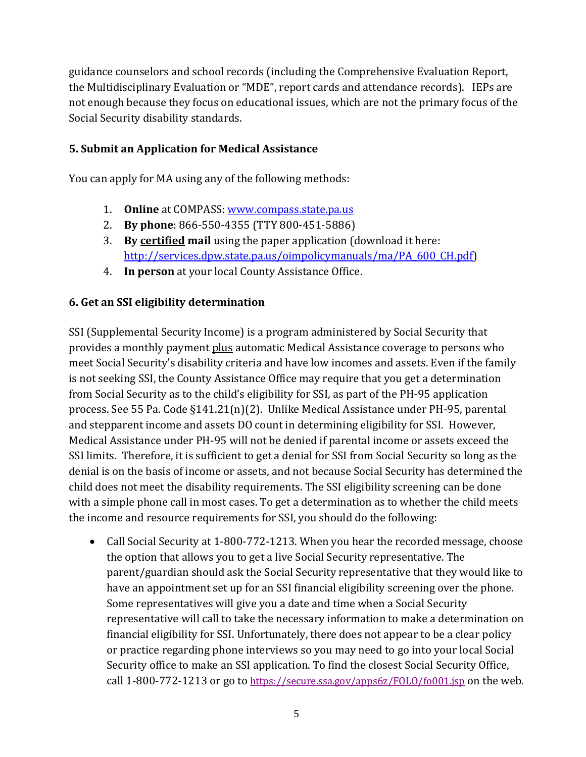guidance counselors and school records (including the Comprehensive Evaluation Report, the Multidisciplinary Evaluation or "MDE", report cards and attendance records). IEPs are not enough because they focus on educational issues, which are not the primary focus of the Social Security disability standards.

#### **5. Submit an Application for Medical Assistance**

You can apply for MA using any of the following methods:

- 1. **Online** at COMPASS: [www.compass.state.pa.us](http://www.compass.state.pa.us/)
- 2. **By phone**: 866-550-4355 (TTY 800-451-5886)
- 3. **By certified mail** using the paper application (download it here: [http://services.dpw.state.pa.us/oimpolicymanuals/ma/PA\\_600\\_CH.pdf\)](http://services.dpw.state.pa.us/oimpolicymanuals/ma/PA_600_CH.pdf)
- 4. **In person** at your local County Assistance Office.

#### **6. Get an SSI eligibility determination**

SSI (Supplemental Security Income) is a program administered by Social Security that provides a monthly payment plus automatic Medical Assistance coverage to persons who meet Social Security's disability criteria and have low incomes and assets. Even if the family is not seeking SSI, the County Assistance Office may require that you get a determination from Social Security as to the child's eligibility for SSI, as part of the PH-95 application process. See 55 Pa. Code §141.21(n)(2). Unlike Medical Assistance under PH-95, parental and stepparent income and assets DO count in determining eligibility for SSI. However, Medical Assistance under PH-95 will not be denied if parental income or assets exceed the SSI limits. Therefore, it is sufficient to get a denial for SSI from Social Security so long as the denial is on the basis of income or assets, and not because Social Security has determined the child does not meet the disability requirements. The SSI eligibility screening can be done with a simple phone call in most cases. To get a determination as to whether the child meets the income and resource requirements for SSI, you should do the following:

• Call Social Security at 1-800-772-1213. When you hear the recorded message, choose the option that allows you to get a live Social Security representative. The parent/guardian should ask the Social Security representative that they would like to have an appointment set up for an SSI financial eligibility screening over the phone. Some representatives will give you a date and time when a Social Security representative will call to take the necessary information to make a determination on financial eligibility for SSI. Unfortunately, there does not appear to be a clear policy or practice regarding phone interviews so you may need to go into your local Social Security office to make an SSI application. To find the closest Social Security Office, call 1-800-772-1213 or go to <https://secure.ssa.gov/apps6z/FOLO/fo001.jsp> on the web.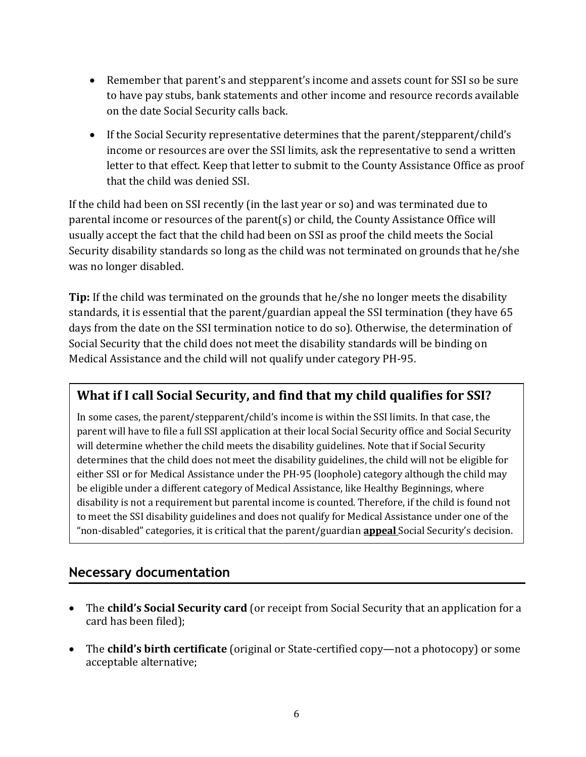- Remember that parent's and stepparent's income and assets count for SSI so be sure to have pay stubs, bank statements and other income and resource records available on the date Social Security calls back.
- If the Social Security representative determines that the parent/stepparent/child's income or resources are over the SSI limits, ask the representative to send a written letter to that effect. Keep that letter to submit to the County Assistance Office as proof that the child was denied SSI.

If the child had been on SSI recently (in the last year or so) and was terminated due to parental income or resources of the parent(s) or child, the County Assistance Office will usually accept the fact that the child had been on SSI as proof the child meets the Social Security disability standards so long as the child was not terminated on grounds that he/she was no longer disabled.

**Tip:** If the child was terminated on the grounds that he/she no longer meets the disability standards, it is essential that the parent/guardian appeal the SSI termination (they have 65 days from the date on the SSI termination notice to do so). Otherwise, the determination of Social Security that the child does not meet the disability standards will be binding on Medical Assistance and the child will not qualify under category PH-95.

# **What if I call Social Security, and find that my child qualifies for SSI?**

In some cases, the parent/stepparent/child's income is within the SSI limits. In that case, the parent will have to file a full SSI application at their local Social Security office and Social Security will determine whether the child meets the disability guidelines. Note that if Social Security determines that the child does not meet the disability guidelines, the child will not be eligible for either SSI or for Medical Assistance under the PH-95 (loophole) category although the child may be eligible under a different category of Medical Assistance, like Healthy Beginnings, where disability is not a requirement but parental income is counted. Therefore, if the child is found not to meet the SSI disability guidelines and does not qualify for Medical Assistance under one of the "non-disabled" categories, it is critical that the parent/guardian **appeal** Social Security's decision.

### **Necessary documentation**

- The **child's Social Security card** (or receipt from Social Security that an application for a card has been filed);
- The **child's birth certificate** (original or State-certified copy—not a photocopy) or some acceptable alternative;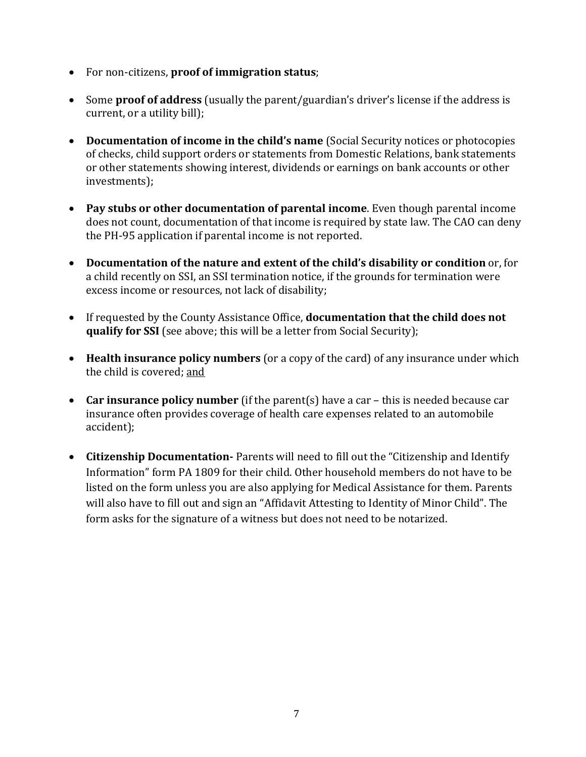- For non-citizens, **proof of immigration status**;
- Some **proof of address** (usually the parent/guardian's driver's license if the address is current, or a utility bill);
- **Documentation of income in the child's name** (Social Security notices or photocopies of checks, child support orders or statements from Domestic Relations, bank statements or other statements showing interest, dividends or earnings on bank accounts or other investments);
- **Pay stubs or other documentation of parental income**. Even though parental income does not count, documentation of that income is required by state law. The CAO can deny the PH-95 application if parental income is not reported.
- **Documentation of the nature and extent of the child's disability or condition** or, for a child recently on SSI, an SSI termination notice, if the grounds for termination were excess income or resources, not lack of disability;
- If requested by the County Assistance Office, **documentation that the child does not qualify for SSI** (see above; this will be a letter from Social Security);
- **Health insurance policy numbers** (or a copy of the card) of any insurance under which the child is covered; and
- **Car insurance policy number** (if the parent(s) have a car this is needed because car insurance often provides coverage of health care expenses related to an automobile accident);
- **Citizenship Documentation-** Parents will need to fill out the "Citizenship and Identify Information" form PA 1809 for their child. Other household members do not have to be listed on the form unless you are also applying for Medical Assistance for them. Parents will also have to fill out and sign an "Affidavit Attesting to Identity of Minor Child". The form asks for the signature of a witness but does not need to be notarized.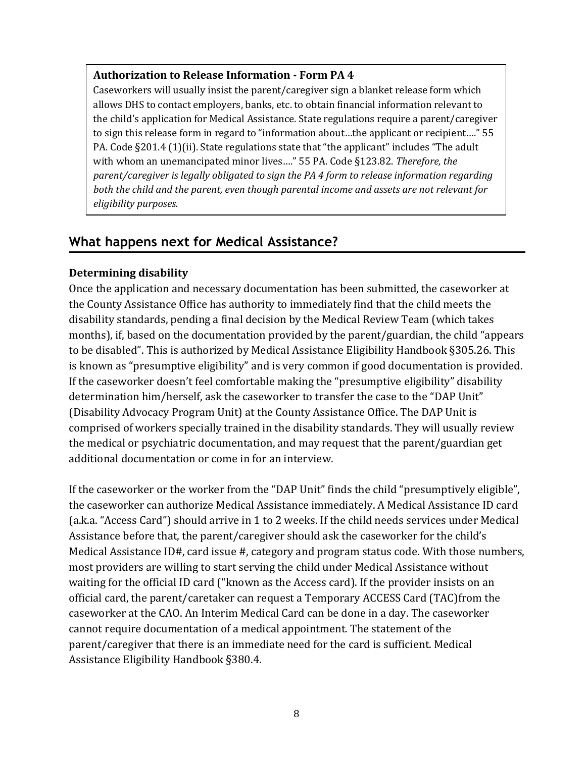#### **Authorization to Release Information - Form PA 4**

Caseworkers will usually insist the parent/caregiver sign a blanket release form which allows DHS to contact employers, banks, etc. to obtain financial information relevant to the child's application for Medical Assistance. State regulations require a parent/caregiver to sign this release form in regard to "information about…the applicant or recipient…." 55 PA. Code §201.4 (1)(ii). State regulations state that "the applicant" includes "The adult with whom an unemancipated minor lives…." 55 PA. Code §123.82. *Therefore, the parent/caregiver is legally obligated to sign the PA 4 form to release information regarding both the child and the parent, even though parental income and assets are not relevant for eligibility purposes.* 

## **What happens next for Medical Assistance?**

#### **Determining disability**

Once the application and necessary documentation has been submitted, the caseworker at the County Assistance Office has authority to immediately find that the child meets the disability standards, pending a final decision by the Medical Review Team (which takes months), if, based on the documentation provided by the parent/guardian, the child "appears to be disabled". This is authorized by Medical Assistance Eligibility Handbook §305.26. This is known as "presumptive eligibility" and is very common if good documentation is provided. If the caseworker doesn't feel comfortable making the "presumptive eligibility" disability determination him/herself, ask the caseworker to transfer the case to the "DAP Unit" (Disability Advocacy Program Unit) at the County Assistance Office. The DAP Unit is comprised of workers specially trained in the disability standards. They will usually review the medical or psychiatric documentation, and may request that the parent/guardian get additional documentation or come in for an interview.

If the caseworker or the worker from the "DAP Unit" finds the child "presumptively eligible", the caseworker can authorize Medical Assistance immediately. A Medical Assistance ID card (a.k.a. "Access Card") should arrive in 1 to 2 weeks. If the child needs services under Medical Assistance before that, the parent/caregiver should ask the caseworker for the child's Medical Assistance ID#, card issue #, category and program status code. With those numbers, most providers are willing to start serving the child under Medical Assistance without waiting for the official ID card ("known as the Access card). If the provider insists on an official card, the parent/caretaker can request a Temporary ACCESS Card (TAC)from the caseworker at the CAO. An Interim Medical Card can be done in a day. The caseworker cannot require documentation of a medical appointment. The statement of the parent/caregiver that there is an immediate need for the card is sufficient. Medical Assistance Eligibility Handbook §380.4.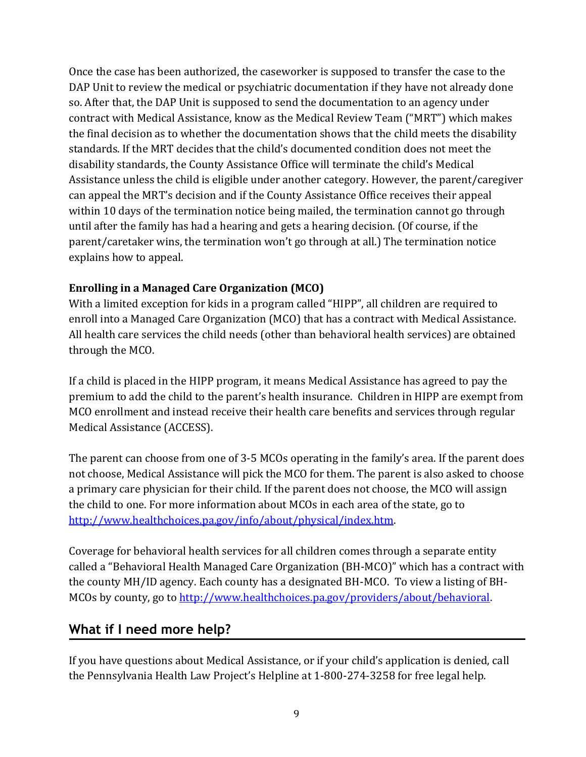Once the case has been authorized, the caseworker is supposed to transfer the case to the DAP Unit to review the medical or psychiatric documentation if they have not already done so. After that, the DAP Unit is supposed to send the documentation to an agency under contract with Medical Assistance, know as the Medical Review Team ("MRT") which makes the final decision as to whether the documentation shows that the child meets the disability standards. If the MRT decides that the child's documented condition does not meet the disability standards, the County Assistance Office will terminate the child's Medical Assistance unless the child is eligible under another category. However, the parent/caregiver can appeal the MRT's decision and if the County Assistance Office receives their appeal within 10 days of the termination notice being mailed, the termination cannot go through until after the family has had a hearing and gets a hearing decision. (Of course, if the parent/caretaker wins, the termination won't go through at all.) The termination notice explains how to appeal.

### **Enrolling in a Managed Care Organization (MCO)**

With a limited exception for kids in a program called "HIPP", all children are required to enroll into a Managed Care Organization (MCO) that has a contract with Medical Assistance. All health care services the child needs (other than behavioral health services) are obtained through the MCO.

If a child is placed in the HIPP program, it means Medical Assistance has agreed to pay the premium to add the child to the parent's health insurance. Children in HIPP are exempt from MCO enrollment and instead receive their health care benefits and services through regular Medical Assistance (ACCESS).

The parent can choose from one of 3-5 MCOs operating in the family's area. If the parent does not choose, Medical Assistance will pick the MCO for them. The parent is also asked to choose a primary care physician for their child. If the parent does not choose, the MCO will assign the child to one. For more information about MCOs in each area of the state, go to [http://www.healthchoices.pa.gov/info/about/physical/index.htm.](http://www.healthchoices.pa.gov/info/about/physical/index.htm)

Coverage for behavioral health services for all children comes through a separate entity called a "Behavioral Health Managed Care Organization (BH-MCO)" which has a contract with the county MH/ID agency. Each county has a designated BH-MCO. To view a listing of BH-MCOs by county, go to [http://www.healthchoices.pa.gov/providers/about/behavioral.](http://www.healthchoices.pa.gov/providers/about/behavioral)

# **What if I need more help?**

If you have questions about Medical Assistance, or if your child's application is denied, call the Pennsylvania Health Law Project's Helpline at 1-800-274-3258 for free legal help.